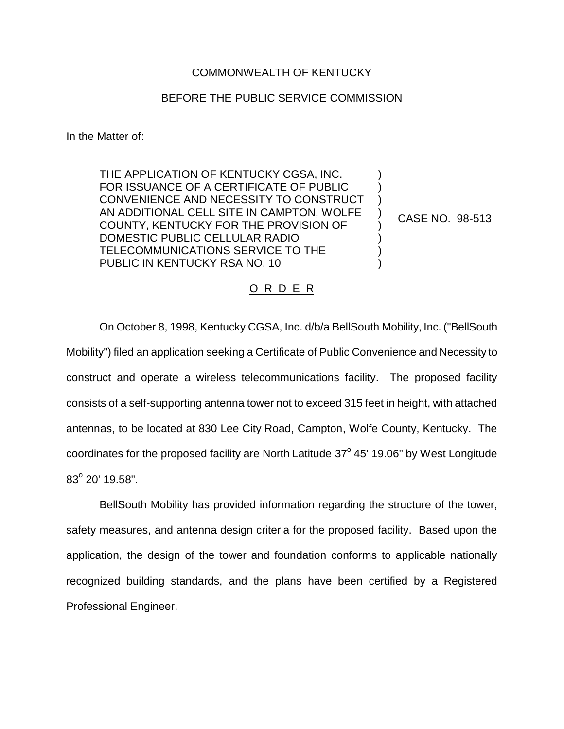## COMMONWEALTH OF KENTUCKY

## BEFORE THE PUBLIC SERVICE COMMISSION

In the Matter of:

THE APPLICATION OF KENTUCKY CGSA, INC. FOR ISSUANCE OF A CERTIFICATE OF PUBLIC CONVENIENCE AND NECESSITY TO CONSTRUCT AN ADDITIONAL CELL SITE IN CAMPTON, WOLFE COUNTY, KENTUCKY FOR THE PROVISION OF DOMESTIC PUBLIC CELLULAR RADIO TELECOMMUNICATIONS SERVICE TO THE PUBLIC IN KENTUCKY RSA NO. 10

CASE NO. 98-513

) ) ) ) ) ) ) )

## O R D E R

On October 8, 1998, Kentucky CGSA, Inc. d/b/a BellSouth Mobility, Inc. ("BellSouth Mobility") filed an application seeking a Certificate of Public Convenience and Necessity to construct and operate a wireless telecommunications facility. The proposed facility consists of a self-supporting antenna tower not to exceed 315 feet in height, with attached antennas, to be located at 830 Lee City Road, Campton, Wolfe County, Kentucky. The coordinates for the proposed facility are North Latitude  $37^{\circ}$  45' 19.06" by West Longitude  $83^{\circ}$  20' 19.58".

BellSouth Mobility has provided information regarding the structure of the tower, safety measures, and antenna design criteria for the proposed facility. Based upon the application, the design of the tower and foundation conforms to applicable nationally recognized building standards, and the plans have been certified by a Registered Professional Engineer.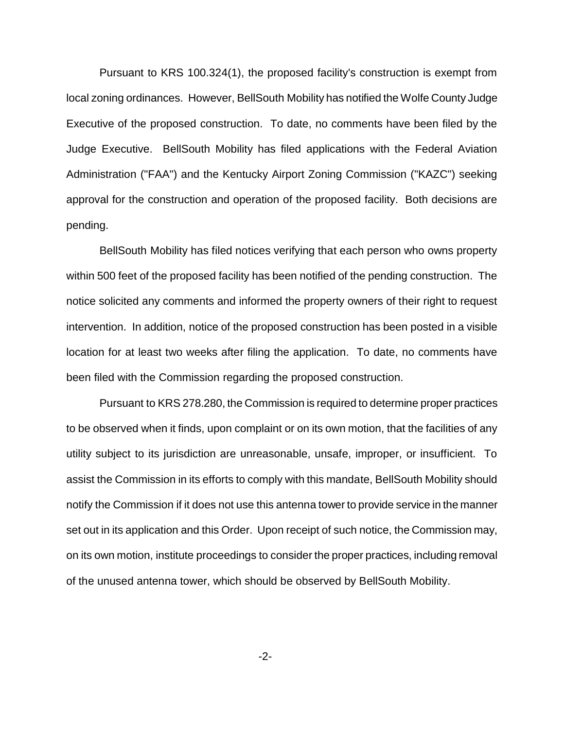Pursuant to KRS 100.324(1), the proposed facility's construction is exempt from local zoning ordinances. However, BellSouth Mobility has notified the Wolfe County Judge Executive of the proposed construction. To date, no comments have been filed by the Judge Executive. BellSouth Mobility has filed applications with the Federal Aviation Administration ("FAA") and the Kentucky Airport Zoning Commission ("KAZC") seeking approval for the construction and operation of the proposed facility. Both decisions are pending.

BellSouth Mobility has filed notices verifying that each person who owns property within 500 feet of the proposed facility has been notified of the pending construction. The notice solicited any comments and informed the property owners of their right to request intervention. In addition, notice of the proposed construction has been posted in a visible location for at least two weeks after filing the application. To date, no comments have been filed with the Commission regarding the proposed construction.

Pursuant to KRS 278.280, the Commission is required to determine proper practices to be observed when it finds, upon complaint or on its own motion, that the facilities of any utility subject to its jurisdiction are unreasonable, unsafe, improper, or insufficient. To assist the Commission in its efforts to comply with this mandate, BellSouth Mobility should notify the Commission if it does not use this antenna tower to provide service in the manner set out in its application and this Order. Upon receipt of such notice, the Commission may, on its own motion, institute proceedings to consider the proper practices, including removal of the unused antenna tower, which should be observed by BellSouth Mobility.

-2-